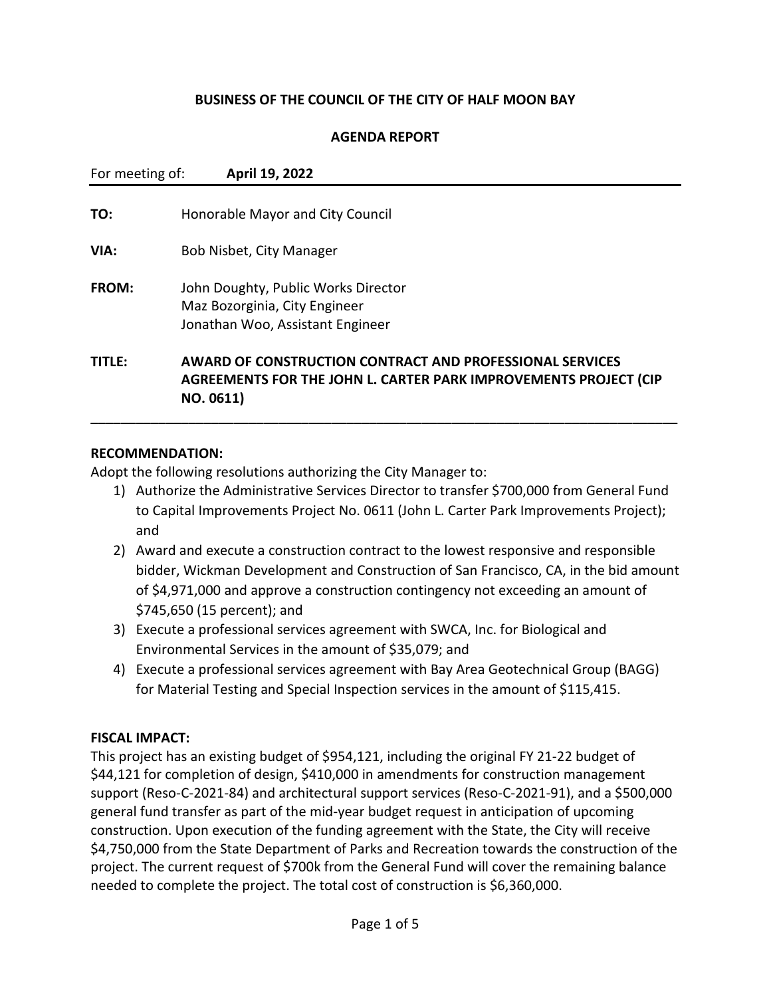### **BUSINESS OF THE COUNCIL OF THE CITY OF HALF MOON BAY**

### **AGENDA REPORT**

| For meeting of: | April 19, 2022                                                                                                                                   |
|-----------------|--------------------------------------------------------------------------------------------------------------------------------------------------|
| TO:             | Honorable Mayor and City Council                                                                                                                 |
| VIA:            | Bob Nisbet, City Manager                                                                                                                         |
| FROM:           | John Doughty, Public Works Director<br>Maz Bozorginia, City Engineer<br>Jonathan Woo, Assistant Engineer                                         |
| <b>TITLE:</b>   | <b>AWARD OF CONSTRUCTION CONTRACT AND PROFESSIONAL SERVICES</b><br>AGREEMENTS FOR THE JOHN L. CARTER PARK IMPROVEMENTS PROJECT (CIP<br>NO. 0611) |

### **RECOMMENDATION:**

Adopt the following resolutions authorizing the City Manager to:

- 1) Authorize the Administrative Services Director to transfer \$700,000 from General Fund to Capital Improvements Project No. 0611 (John L. Carter Park Improvements Project); and
- 2) Award and execute a construction contract to the lowest responsive and responsible bidder, Wickman Development and Construction of San Francisco, CA, in the bid amount of \$4,971,000 and approve a construction contingency not exceeding an amount of \$745,650 (15 percent); and
- 3) Execute a professional services agreement with SWCA, Inc. for Biological and Environmental Services in the amount of \$35,079; and
- 4) Execute a professional services agreement with Bay Area Geotechnical Group (BAGG) for Material Testing and Special Inspection services in the amount of \$115,415.

### **FISCAL IMPACT:**

This project has an existing budget of \$954,121, including the original FY 21-22 budget of \$44,121 for completion of design, \$410,000 in amendments for construction management support (Reso-C-2021-84) and architectural support services (Reso-C-2021-91), and a \$500,000 general fund transfer as part of the mid-year budget request in anticipation of upcoming construction. Upon execution of the funding agreement with the State, the City will receive \$4,750,000 from the State Department of Parks and Recreation towards the construction of the project. The current request of \$700k from the General Fund will cover the remaining balance needed to complete the project. The total cost of construction is \$6,360,000.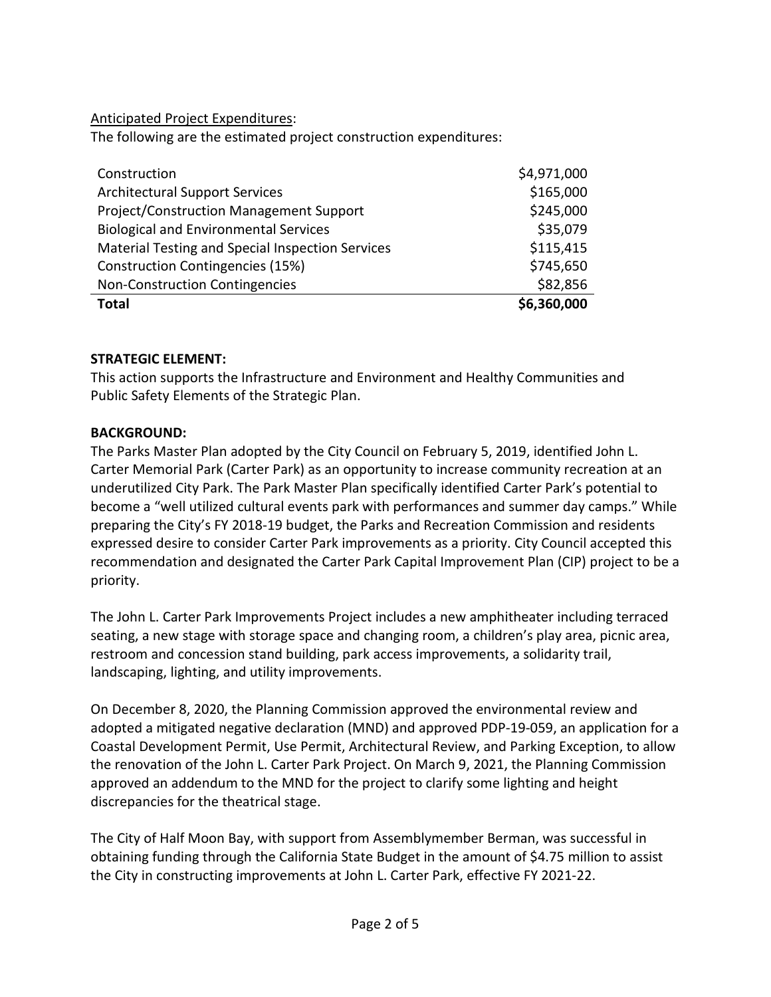Anticipated Project Expenditures:

The following are the estimated project construction expenditures:

| Construction                                     | \$4,971,000 |
|--------------------------------------------------|-------------|
| <b>Architectural Support Services</b>            | \$165,000   |
| Project/Construction Management Support          | \$245,000   |
| <b>Biological and Environmental Services</b>     | \$35,079    |
| Material Testing and Special Inspection Services | \$115,415   |
| Construction Contingencies (15%)                 | \$745,650   |
| Non-Construction Contingencies                   | \$82,856    |
| <b>Total</b>                                     | \$6,360,000 |

## **STRATEGIC ELEMENT:**

This action supports the Infrastructure and Environment and Healthy Communities and Public Safety Elements of the Strategic Plan.

## **BACKGROUND:**

The Parks Master Plan adopted by the City Council on February 5, 2019, identified John L. Carter Memorial Park (Carter Park) as an opportunity to increase community recreation at an underutilized City Park. The Park Master Plan specifically identified Carter Park's potential to become a "well utilized cultural events park with performances and summer day camps." While preparing the City's FY 2018-19 budget, the Parks and Recreation Commission and residents expressed desire to consider Carter Park improvements as a priority. City Council accepted this recommendation and designated the Carter Park Capital Improvement Plan (CIP) project to be a priority.

The John L. Carter Park Improvements Project includes a new amphitheater including terraced seating, a new stage with storage space and changing room, a children's play area, picnic area, restroom and concession stand building, park access improvements, a solidarity trail, landscaping, lighting, and utility improvements.

On December 8, 2020, the Planning Commission approved the environmental review and adopted a mitigated negative declaration (MND) and approved PDP-19-059, an application for a Coastal Development Permit, Use Permit, Architectural Review, and Parking Exception, to allow the renovation of the John L. Carter Park Project. On March 9, 2021, the Planning Commission approved an addendum to the MND for the project to clarify some lighting and height discrepancies for the theatrical stage.

The City of Half Moon Bay, with support from Assemblymember Berman, was successful in obtaining funding through the California State Budget in the amount of \$4.75 million to assist the City in constructing improvements at John L. Carter Park, effective FY 2021-22.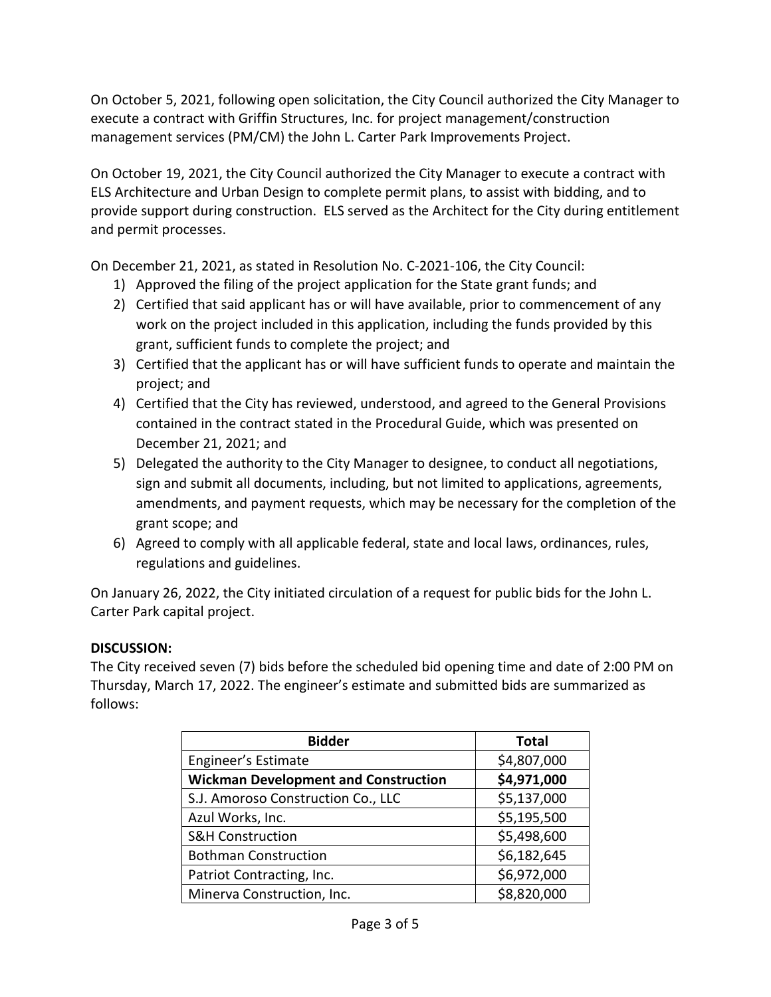On October 5, 2021, following open solicitation, the City Council authorized the City Manager to execute a contract with Griffin Structures, Inc. for project management/construction management services (PM/CM) the John L. Carter Park Improvements Project.

On October 19, 2021, the City Council authorized the City Manager to execute a contract with ELS Architecture and Urban Design to complete permit plans, to assist with bidding, and to provide support during construction. ELS served as the Architect for the City during entitlement and permit processes.

On December 21, 2021, as stated in Resolution No. C-2021-106, the City Council:

- 1) Approved the filing of the project application for the State grant funds; and
- 2) Certified that said applicant has or will have available, prior to commencement of any work on the project included in this application, including the funds provided by this grant, sufficient funds to complete the project; and
- 3) Certified that the applicant has or will have sufficient funds to operate and maintain the project; and
- 4) Certified that the City has reviewed, understood, and agreed to the General Provisions contained in the contract stated in the Procedural Guide, which was presented on December 21, 2021; and
- 5) Delegated the authority to the City Manager to designee, to conduct all negotiations, sign and submit all documents, including, but not limited to applications, agreements, amendments, and payment requests, which may be necessary for the completion of the grant scope; and
- 6) Agreed to comply with all applicable federal, state and local laws, ordinances, rules, regulations and guidelines.

On January 26, 2022, the City initiated circulation of a request for public bids for the John L. Carter Park capital project.

# **DISCUSSION:**

The City received seven (7) bids before the scheduled bid opening time and date of 2:00 PM on Thursday, March 17, 2022. The engineer's estimate and submitted bids are summarized as follows:

| <b>Bidder</b>                               | <b>Total</b> |
|---------------------------------------------|--------------|
| Engineer's Estimate                         | \$4,807,000  |
| <b>Wickman Development and Construction</b> | \$4,971,000  |
| S.J. Amoroso Construction Co., LLC          | \$5,137,000  |
| Azul Works, Inc.                            | \$5,195,500  |
| <b>S&amp;H Construction</b>                 | \$5,498,600  |
| <b>Bothman Construction</b>                 | \$6,182,645  |
| Patriot Contracting, Inc.                   | \$6,972,000  |
| Minerva Construction, Inc.                  | \$8,820,000  |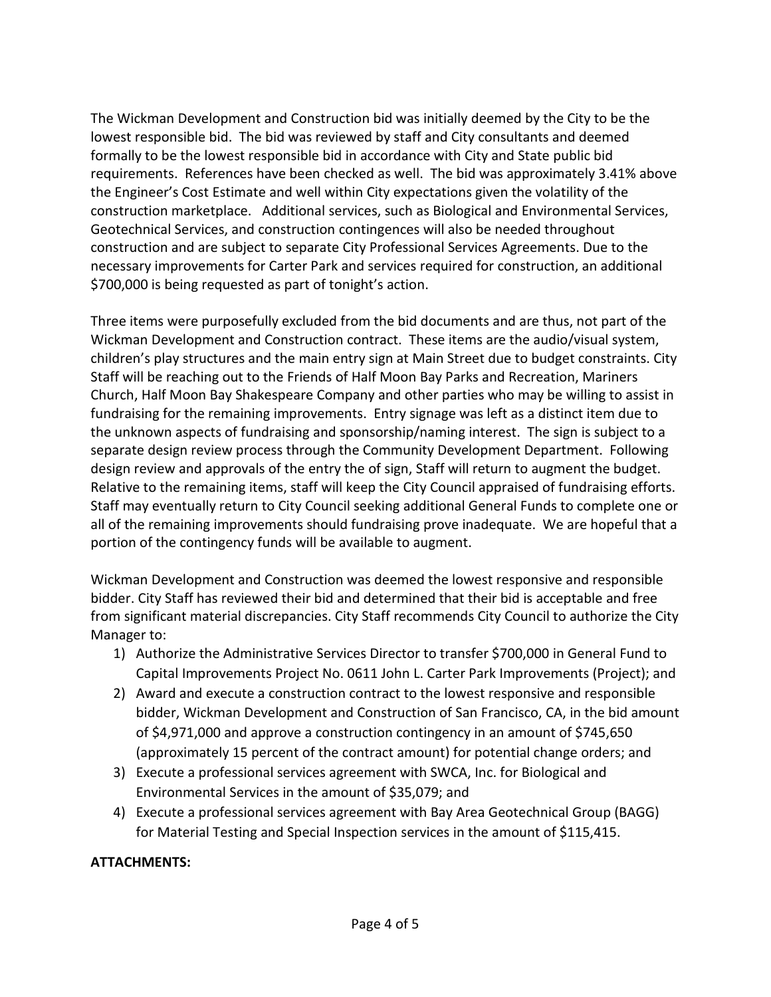The Wickman Development and Construction bid was initially deemed by the City to be the lowest responsible bid. The bid was reviewed by staff and City consultants and deemed formally to be the lowest responsible bid in accordance with City and State public bid requirements. References have been checked as well. The bid was approximately 3.41% above the Engineer's Cost Estimate and well within City expectations given the volatility of the construction marketplace. Additional services, such as Biological and Environmental Services, Geotechnical Services, and construction contingences will also be needed throughout construction and are subject to separate City Professional Services Agreements. Due to the necessary improvements for Carter Park and services required for construction, an additional \$700,000 is being requested as part of tonight's action.

Three items were purposefully excluded from the bid documents and are thus, not part of the Wickman Development and Construction contract. These items are the audio/visual system, children's play structures and the main entry sign at Main Street due to budget constraints. City Staff will be reaching out to the Friends of Half Moon Bay Parks and Recreation, Mariners Church, Half Moon Bay Shakespeare Company and other parties who may be willing to assist in fundraising for the remaining improvements. Entry signage was left as a distinct item due to the unknown aspects of fundraising and sponsorship/naming interest. The sign is subject to a separate design review process through the Community Development Department. Following design review and approvals of the entry the of sign, Staff will return to augment the budget. Relative to the remaining items, staff will keep the City Council appraised of fundraising efforts. Staff may eventually return to City Council seeking additional General Funds to complete one or all of the remaining improvements should fundraising prove inadequate. We are hopeful that a portion of the contingency funds will be available to augment.

Wickman Development and Construction was deemed the lowest responsive and responsible bidder. City Staff has reviewed their bid and determined that their bid is acceptable and free from significant material discrepancies. City Staff recommends City Council to authorize the City Manager to:

- 1) Authorize the Administrative Services Director to transfer \$700,000 in General Fund to Capital Improvements Project No. 0611 John L. Carter Park Improvements (Project); and
- 2) Award and execute a construction contract to the lowest responsive and responsible bidder, Wickman Development and Construction of San Francisco, CA, in the bid amount of \$4,971,000 and approve a construction contingency in an amount of \$745,650 (approximately 15 percent of the contract amount) for potential change orders; and
- 3) Execute a professional services agreement with SWCA, Inc. for Biological and Environmental Services in the amount of \$35,079; and
- 4) Execute a professional services agreement with Bay Area Geotechnical Group (BAGG) for Material Testing and Special Inspection services in the amount of \$115,415.

# **ATTACHMENTS:**